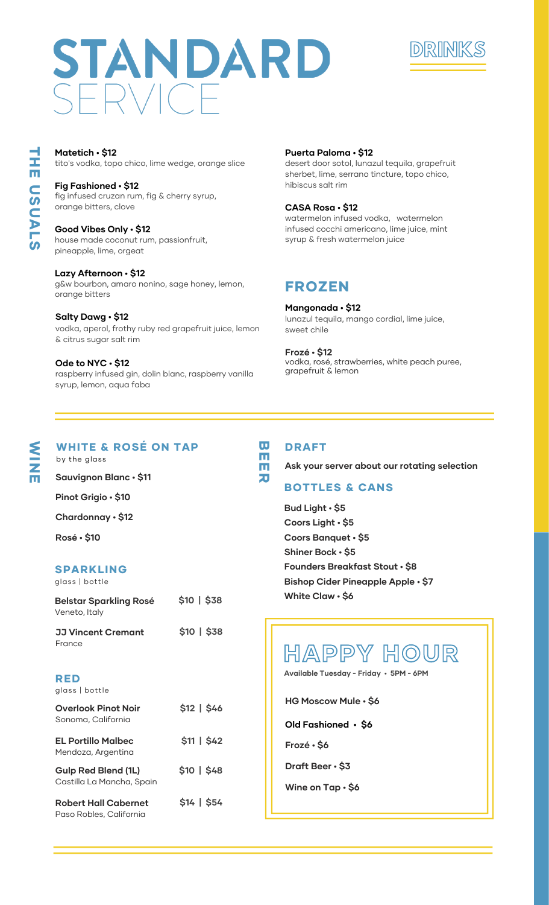# STANDARD  $F$  RVICF



tito's vodka, topo chico, lime wedge, orange slice **Matetich • \$12**

fig infused cruzan rum, fig & cherry syrup, orange bitters, clove **Fig Fashioned • \$12**

house made coconut rum, passionfruit, pineapple, lime, orgeat **Good Vibes Only • \$12**

g&w bourbon, amaro nonino, sage honey, lemon, orange bitters **Lazy Afternoon • \$12**

vodka, aperol, frothy ruby red grapefruit juice, lemon & citrus sugar salt rim **Salty Dawg • \$12 Salty Dawg • \$12 12** lunazul tequila, mango cordial, lime juice,

raspberry infused gin, dolin blanc, raspberry vanilla syrup, lemon, aqua faba **Ode to NYC • \$12**

### **Puerta Paloma • \$12**

desert door sotol, lunazul tequila, grapefruit sherbet, lime, serrano tincture, topo chico, hibiscus salt rim

#### **CASA Rosa • \$12**

watermelon infused vodka, watermelon infused cocchi americano, lime juice, mint syrup & fresh watermelon juice

### FROZEN

sweet chile **Mangonada • \$12**

vodka, rosé, strawberries, white peach puree, grapefruit & lemon **Frozé • \$12**

## WI<br>Z

E

 $\overline{\phantom{a}}$ H E  $\blacksquare$  $\boldsymbol{\omega}$  $\blacksquare$ A L  $\boldsymbol{\omega}$ 

WHITE & ROSÉ ON TAP by the glass

**Sauvignon Blanc • \$11**

**Pinot Grigio • \$10**

**Chardonnay • \$12**

**Rosé • \$10**

### SPARKLING

|  | glass   bottle |
|--|----------------|
|  |                |

| <b>Belstar Sparkling Rosé</b><br>Veneto, Italy         | \$10   \$38  |
|--------------------------------------------------------|--------------|
| <b>JJ Vincent Cremant</b><br>France                    | \$10   \$38  |
| RED<br>glass bottle                                    |              |
| <b>Overlook Pinot Noir</b><br>Sonoma, California       | $$12$   \$46 |
| EL Portillo Malbec<br>Mendoza, Argentina               | \$11   \$42  |
| Gulp Red Blend (1L)<br>Castilla La Mancha, Spain       | \$10   \$48  |
| <b>Robert Hall Cabernet</b><br>Paso Robles, California | \$14   \$54  |

### DRAFT

 $\overline{\mathbf{u}}$  $\overline{\mathbf{E}}$  $\overline{\mathbf{H}}$  $\overline{\mathbf{v}}$ 

**Ask your server about our rotating selection**

### BOTTLES & CANS

**Bud Light • \$5 Coors Light • \$5 Coors Banquet • \$5 Shiner Bock • \$5 Founders Breakfast Stout • \$8 Bishop Cider Pineapple Apple • \$7 White Claw • \$6**

### HAPPY HOUR

**Available Tuesday - Friday • 5PM - 6PM**

**HG Moscow Mule • \$6**

**Old Fashioned • \$6**

**Frozé • \$6**

**Draft Beer • \$3**

**Wine on Tap • \$6**